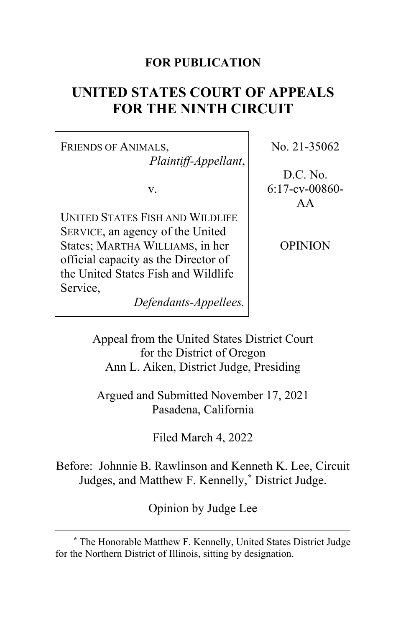# **FOR PUBLICATION**

# **UNITED STATES COURT OF APPEALS FOR THE NINTH CIRCUIT**

FRIENDS OF ANIMALS, *Plaintiff-Appellant*,

v.

UNITED STATES FISH AND WILDLIFE SERVICE, an agency of the United States; MARTHA WILLIAMS, in her official capacity as the Director of the United States Fish and Wildlife Service,

*Defendants-Appellees.*

No. 21-35062

D.C. No. 6:17-cv-00860- AA

OPINION

Appeal from the United States District Court for the District of Oregon Ann L. Aiken, District Judge, Presiding

Argued and Submitted November 17, 2021 Pasadena, California

Filed March 4, 2022

Before: Johnnie B. Rawlinson and Kenneth K. Lee, Circuit Judges, and Matthew F. Kennelly,**[\\*](#page-0-0)** District Judge.

Opinion by Judge Lee

<span id="page-0-0"></span>**<sup>\*</sup>** The Honorable Matthew F. Kennelly, United States District Judge for the Northern District of Illinois, sitting by designation.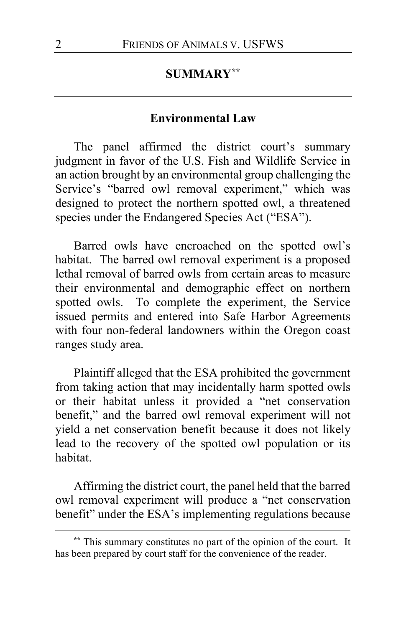# **SUMMARY[\\*\\*](#page-1-0)**

### **Environmental Law**

The panel affirmed the district court's summary judgment in favor of the U.S. Fish and Wildlife Service in an action brought by an environmental group challenging the Service's "barred owl removal experiment," which was designed to protect the northern spotted owl, a threatened species under the Endangered Species Act ("ESA").

Barred owls have encroached on the spotted owl's habitat. The barred owl removal experiment is a proposed lethal removal of barred owls from certain areas to measure their environmental and demographic effect on northern spotted owls. To complete the experiment, the Service issued permits and entered into Safe Harbor Agreements with four non-federal landowners within the Oregon coast ranges study area.

Plaintiff alleged that the ESA prohibited the government from taking action that may incidentally harm spotted owls or their habitat unless it provided a "net conservation benefit," and the barred owl removal experiment will not yield a net conservation benefit because it does not likely lead to the recovery of the spotted owl population or its habitat.

Affirming the district court, the panel held that the barred owl removal experiment will produce a "net conservation benefit" under the ESA's implementing regulations because

<span id="page-1-0"></span>**<sup>\*\*</sup>** This summary constitutes no part of the opinion of the court. It has been prepared by court staff for the convenience of the reader.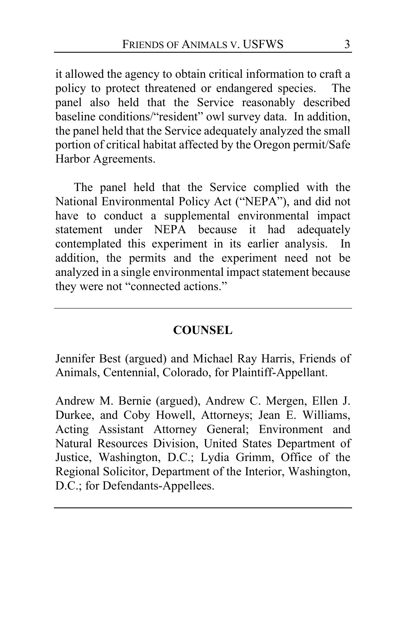it allowed the agency to obtain critical information to craft a policy to protect threatened or endangered species. The panel also held that the Service reasonably described baseline conditions/"resident" owl survey data. In addition, the panel held that the Service adequately analyzed the small portion of critical habitat affected by the Oregon permit/Safe Harbor Agreements.

The panel held that the Service complied with the National Environmental Policy Act ("NEPA"), and did not have to conduct a supplemental environmental impact statement under NEPA because it had adequately contemplated this experiment in its earlier analysis. In addition, the permits and the experiment need not be analyzed in a single environmental impact statement because they were not "connected actions."

### **COUNSEL**

Jennifer Best (argued) and Michael Ray Harris, Friends of Animals, Centennial, Colorado, for Plaintiff-Appellant.

Andrew M. Bernie (argued), Andrew C. Mergen, Ellen J. Durkee, and Coby Howell, Attorneys; Jean E. Williams, Acting Assistant Attorney General; Environment and Natural Resources Division, United States Department of Justice, Washington, D.C.; Lydia Grimm, Office of the Regional Solicitor, Department of the Interior, Washington, D.C.; for Defendants-Appellees.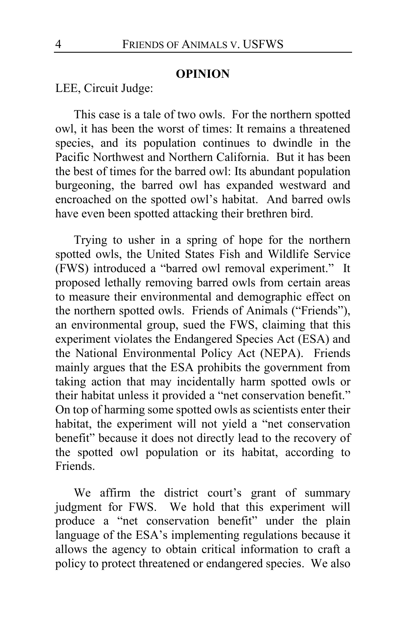#### **OPINION**

LEE, Circuit Judge:

This case is a tale of two owls. For the northern spotted owl, it has been the worst of times: It remains a threatened species, and its population continues to dwindle in the Pacific Northwest and Northern California. But it has been the best of times for the barred owl: Its abundant population burgeoning, the barred owl has expanded westward and encroached on the spotted owl's habitat. And barred owls have even been spotted attacking their brethren bird.

Trying to usher in a spring of hope for the northern spotted owls, the United States Fish and Wildlife Service (FWS) introduced a "barred owl removal experiment." It proposed lethally removing barred owls from certain areas to measure their environmental and demographic effect on the northern spotted owls. Friends of Animals ("Friends"), an environmental group, sued the FWS, claiming that this experiment violates the Endangered Species Act (ESA) and the National Environmental Policy Act (NEPA). Friends mainly argues that the ESA prohibits the government from taking action that may incidentally harm spotted owls or their habitat unless it provided a "net conservation benefit." On top of harming some spotted owls as scientists enter their habitat, the experiment will not yield a "net conservation benefit" because it does not directly lead to the recovery of the spotted owl population or its habitat, according to Friends.

We affirm the district court's grant of summary judgment for FWS. We hold that this experiment will produce a "net conservation benefit" under the plain language of the ESA's implementing regulations because it allows the agency to obtain critical information to craft a policy to protect threatened or endangered species. We also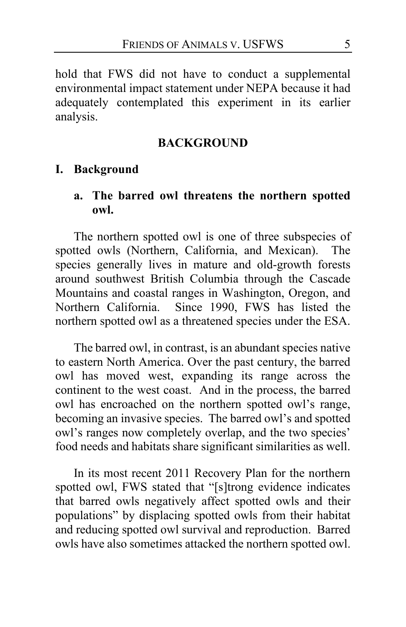hold that FWS did not have to conduct a supplemental environmental impact statement under NEPA because it had adequately contemplated this experiment in its earlier analysis.

#### **BACKGROUND**

### **I. Background**

### **a. The barred owl threatens the northern spotted owl.**

The northern spotted owl is one of three subspecies of spotted owls (Northern, California, and Mexican). The species generally lives in mature and old-growth forests around southwest British Columbia through the Cascade Mountains and coastal ranges in Washington, Oregon, and Northern California. Since 1990, FWS has listed the northern spotted owl as a threatened species under the ESA.

The barred owl, in contrast, is an abundant species native to eastern North America. Over the past century, the barred owl has moved west, expanding its range across the continent to the west coast. And in the process, the barred owl has encroached on the northern spotted owl's range, becoming an invasive species. The barred owl's and spotted owl's ranges now completely overlap, and the two species' food needs and habitats share significant similarities as well.

In its most recent 2011 Recovery Plan for the northern spotted owl, FWS stated that "[s]trong evidence indicates that barred owls negatively affect spotted owls and their populations" by displacing spotted owls from their habitat and reducing spotted owl survival and reproduction. Barred owls have also sometimes attacked the northern spotted owl.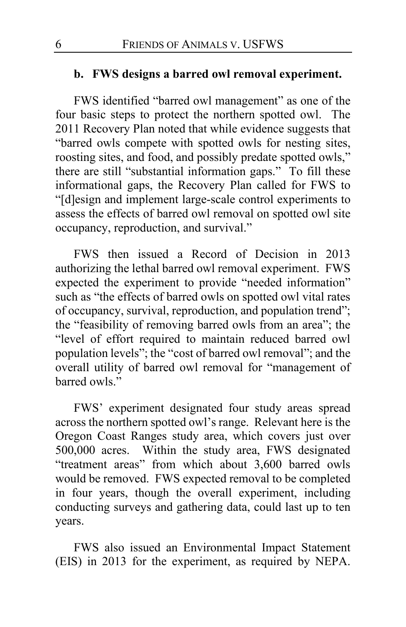### **b. FWS designs a barred owl removal experiment.**

FWS identified "barred owl management" as one of the four basic steps to protect the northern spotted owl. The 2011 Recovery Plan noted that while evidence suggests that "barred owls compete with spotted owls for nesting sites, roosting sites, and food, and possibly predate spotted owls," there are still "substantial information gaps." To fill these informational gaps, the Recovery Plan called for FWS to "[d]esign and implement large-scale control experiments to assess the effects of barred owl removal on spotted owl site occupancy, reproduction, and survival."

FWS then issued a Record of Decision in 2013 authorizing the lethal barred owl removal experiment. FWS expected the experiment to provide "needed information" such as "the effects of barred owls on spotted owl vital rates of occupancy, survival, reproduction, and population trend"; the "feasibility of removing barred owls from an area"; the "level of effort required to maintain reduced barred owl population levels"; the "cost of barred owl removal"; and the overall utility of barred owl removal for "management of barred owls."

FWS' experiment designated four study areas spread across the northern spotted owl's range. Relevant here is the Oregon Coast Ranges study area, which covers just over 500,000 acres. Within the study area, FWS designated "treatment areas" from which about 3,600 barred owls would be removed. FWS expected removal to be completed in four years, though the overall experiment, including conducting surveys and gathering data, could last up to ten years.

FWS also issued an Environmental Impact Statement (EIS) in 2013 for the experiment, as required by NEPA.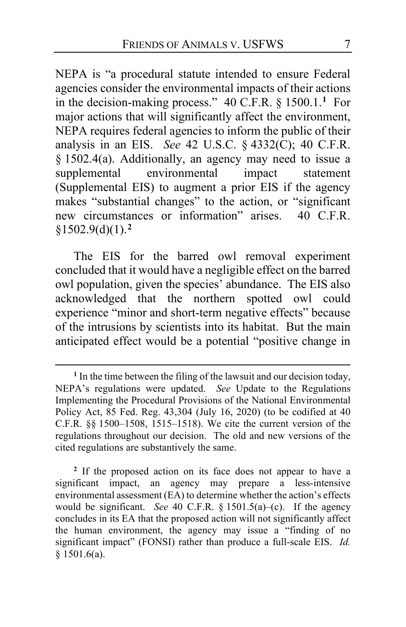NEPA is "a procedural statute intended to ensure Federal agencies consider the environmental impacts of their actions in the decision-making process." 40 C.F.R. § 1500.1.**[1](#page-6-0)** For major actions that will significantly affect the environment, NEPA requires federal agencies to inform the public of their analysis in an EIS. *See* 42 U.S.C. § 4332(C); 40 C.F.R. § 1502.4(a). Additionally, an agency may need to issue a environmental impact statement (Supplemental EIS) to augment a prior EIS if the agency makes "substantial changes" to the action, or "significant new circumstances or information" arises. 40 C.F.R. §1502.9(d)(1).**[2](#page-6-1)**

The EIS for the barred owl removal experiment concluded that it would have a negligible effect on the barred owl population, given the species' abundance. The EIS also acknowledged that the northern spotted owl could experience "minor and short-term negative effects" because of the intrusions by scientists into its habitat. But the main anticipated effect would be a potential "positive change in

<span id="page-6-1"></span>**<sup>2</sup>** If the proposed action on its face does not appear to have a significant impact, an agency may prepare a less-intensive environmental assessment (EA) to determine whether the action's effects would be significant. *See* 40 C.F.R. § 1501.5(a)–(c). If the agency concludes in its EA that the proposed action will not significantly affect the human environment, the agency may issue a "finding of no significant impact" (FONSI) rather than produce a full-scale EIS. *Id.*  $§$  1501.6(a).

<span id="page-6-0"></span><sup>&</sup>lt;sup>1</sup> In the time between the filing of the lawsuit and our decision today, NEPA's regulations were updated. *See* Update to the Regulations Implementing the Procedural Provisions of the National Environmental Policy Act, 85 Fed. Reg. 43,304 (July 16, 2020) (to be codified at 40 C.F.R. §§ 1500–1508, 1515–1518). We cite the current version of the regulations throughout our decision. The old and new versions of the cited regulations are substantively the same.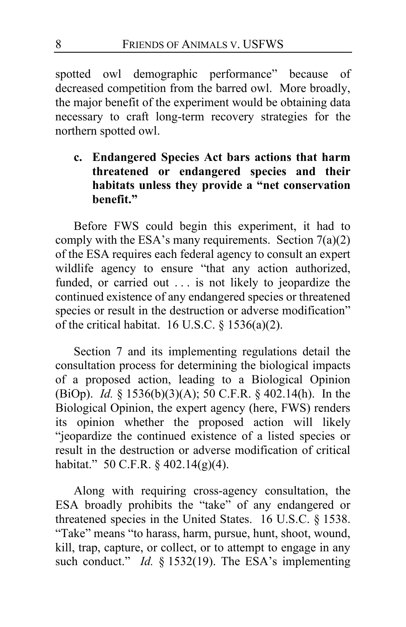spotted owl demographic performance" because of decreased competition from the barred owl. More broadly, the major benefit of the experiment would be obtaining data necessary to craft long-term recovery strategies for the northern spotted owl.

# **c. Endangered Species Act bars actions that harm threatened or endangered species and their habitats unless they provide a "net conservation benefit."**

Before FWS could begin this experiment, it had to comply with the ESA's many requirements. Section  $7(a)(2)$ of the ESA requires each federal agency to consult an expert wildlife agency to ensure "that any action authorized, funded, or carried out . . . is not likely to jeopardize the continued existence of any endangered species or threatened species or result in the destruction or adverse modification" of the critical habitat. 16 U.S.C.  $\S$  1536(a)(2).

Section 7 and its implementing regulations detail the consultation process for determining the biological impacts of a proposed action, leading to a Biological Opinion (BiOp). *Id.* § 1536(b)(3)(A); 50 C.F.R. § 402.14(h). In the Biological Opinion, the expert agency (here, FWS) renders its opinion whether the proposed action will likely "jeopardize the continued existence of a listed species or result in the destruction or adverse modification of critical habitat." 50 C.F.R. § 402.14(g)(4).

Along with requiring cross-agency consultation, the ESA broadly prohibits the "take" of any endangered or threatened species in the United States. 16 U.S.C. § 1538. "Take" means "to harass, harm, pursue, hunt, shoot, wound, kill, trap, capture, or collect, or to attempt to engage in any such conduct." *Id.* § 1532(19). The ESA's implementing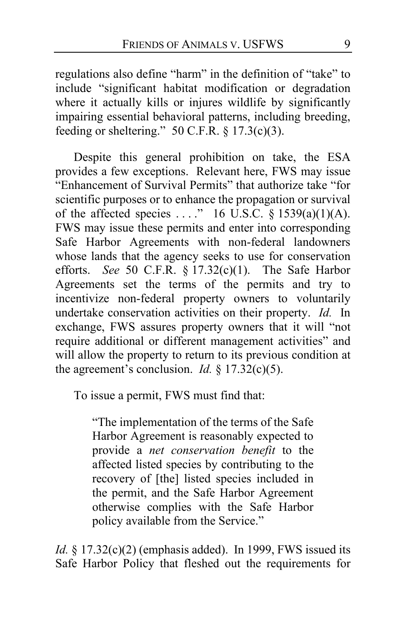regulations also define "harm" in the definition of "take" to include "significant habitat modification or degradation where it actually kills or injures wildlife by significantly impairing essential behavioral patterns, including breeding, feeding or sheltering."  $50$  C.F.R. § 17.3(c)(3).

Despite this general prohibition on take, the ESA provides a few exceptions. Relevant here, FWS may issue "Enhancement of Survival Permits" that authorize take "for scientific purposes or to enhance the propagation or survival of the affected species ...." 16 U.S.C.  $\S$  1539(a)(1)(A). FWS may issue these permits and enter into corresponding Safe Harbor Agreements with non-federal landowners whose lands that the agency seeks to use for conservation efforts. *See* 50 C.F.R. § 17.32(c)(1). The Safe Harbor Agreements set the terms of the permits and try to incentivize non-federal property owners to voluntarily undertake conservation activities on their property. *Id.* In exchange, FWS assures property owners that it will "not require additional or different management activities" and will allow the property to return to its previous condition at the agreement's conclusion. *Id.*  $\S$  17.32(c)(5).

To issue a permit, FWS must find that:

"The implementation of the terms of the Safe Harbor Agreement is reasonably expected to provide a *net conservation benefit* to the affected listed species by contributing to the recovery of [the] listed species included in the permit, and the Safe Harbor Agreement otherwise complies with the Safe Harbor policy available from the Service."

*Id.* § 17.32(c)(2) (emphasis added). In 1999, FWS issued its Safe Harbor Policy that fleshed out the requirements for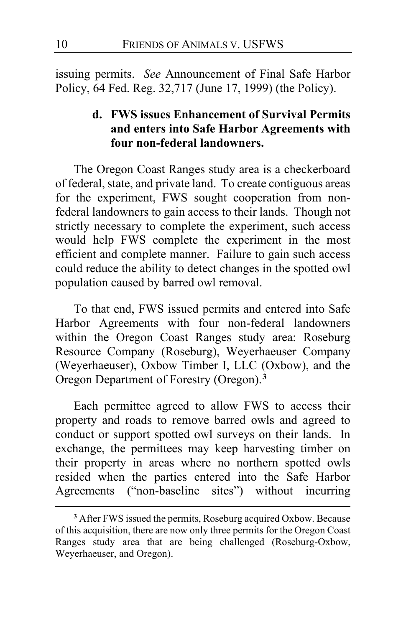issuing permits. *See* Announcement of Final Safe Harbor Policy, 64 Fed. Reg. 32,717 (June 17, 1999) (the Policy).

# **d. FWS issues Enhancement of Survival Permits and enters into Safe Harbor Agreements with four non-federal landowners.**

The Oregon Coast Ranges study area is a checkerboard of federal, state, and private land. To create contiguous areas for the experiment, FWS sought cooperation from nonfederal landowners to gain access to their lands. Though not strictly necessary to complete the experiment, such access would help FWS complete the experiment in the most efficient and complete manner. Failure to gain such access could reduce the ability to detect changes in the spotted owl population caused by barred owl removal.

To that end, FWS issued permits and entered into Safe Harbor Agreements with four non-federal landowners within the Oregon Coast Ranges study area: Roseburg Resource Company (Roseburg), Weyerhaeuser Company (Weyerhaeuser), Oxbow Timber I, LLC (Oxbow), and the Oregon Department of Forestry (Oregon).**[3](#page-9-0)**

Each permittee agreed to allow FWS to access their property and roads to remove barred owls and agreed to conduct or support spotted owl surveys on their lands. In exchange, the permittees may keep harvesting timber on their property in areas where no northern spotted owls resided when the parties entered into the Safe Harbor Agreements ("non-baseline sites") without incurring

<span id="page-9-0"></span>**<sup>3</sup>** After FWS issued the permits, Roseburg acquired Oxbow. Because of this acquisition, there are now only three permits for the Oregon Coast Ranges study area that are being challenged (Roseburg-Oxbow, Weyerhaeuser, and Oregon).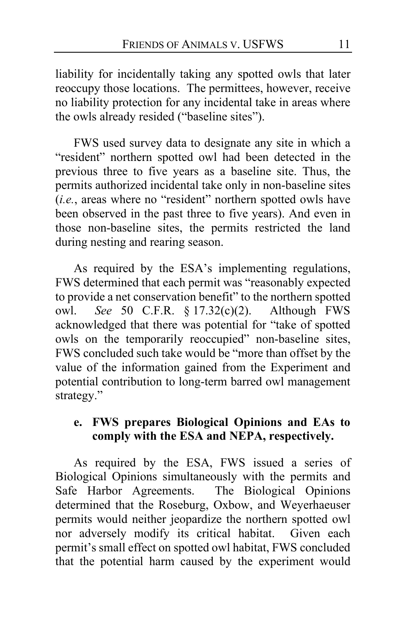liability for incidentally taking any spotted owls that later reoccupy those locations. The permittees, however, receive no liability protection for any incidental take in areas where the owls already resided ("baseline sites").

FWS used survey data to designate any site in which a "resident" northern spotted owl had been detected in the previous three to five years as a baseline site. Thus, the permits authorized incidental take only in non-baseline sites (*i.e.*, areas where no "resident" northern spotted owls have been observed in the past three to five years). And even in those non-baseline sites, the permits restricted the land during nesting and rearing season.

As required by the ESA's implementing regulations, FWS determined that each permit was "reasonably expected to provide a net conservation benefit" to the northern spotted owl. *See* 50 C.F.R. § 17.32(c)(2). Although FWS acknowledged that there was potential for "take of spotted owls on the temporarily reoccupied" non-baseline sites, FWS concluded such take would be "more than offset by the value of the information gained from the Experiment and potential contribution to long-term barred owl management strategy."

# **e. FWS prepares Biological Opinions and EAs to comply with the ESA and NEPA, respectively.**

As required by the ESA, FWS issued a series of Biological Opinions simultaneously with the permits and Safe Harbor Agreements. The Biological Opinions determined that the Roseburg, Oxbow, and Weyerhaeuser permits would neither jeopardize the northern spotted owl nor adversely modify its critical habitat. Given each permit's small effect on spotted owl habitat, FWS concluded that the potential harm caused by the experiment would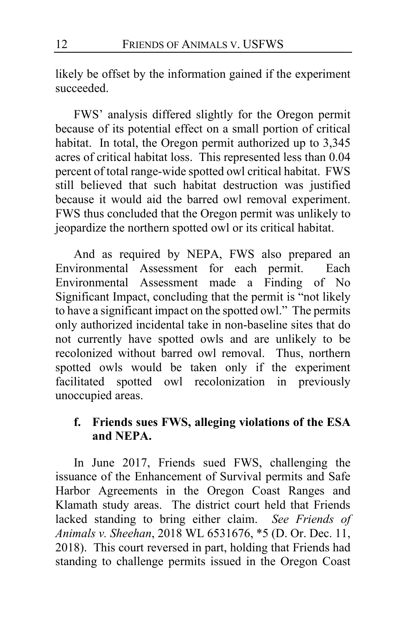likely be offset by the information gained if the experiment succeeded.

FWS' analysis differed slightly for the Oregon permit because of its potential effect on a small portion of critical habitat. In total, the Oregon permit authorized up to 3,345 acres of critical habitat loss. This represented less than 0.04 percent of total range-wide spotted owl critical habitat. FWS still believed that such habitat destruction was justified because it would aid the barred owl removal experiment. FWS thus concluded that the Oregon permit was unlikely to jeopardize the northern spotted owl or its critical habitat.

And as required by NEPA, FWS also prepared an Environmental Assessment for each permit. Each Environmental Assessment made a Finding of No Significant Impact, concluding that the permit is "not likely to have a significant impact on the spotted owl." The permits only authorized incidental take in non-baseline sites that do not currently have spotted owls and are unlikely to be recolonized without barred owl removal. Thus, northern spotted owls would be taken only if the experiment facilitated spotted owl recolonization in previously unoccupied areas.

# **f. Friends sues FWS, alleging violations of the ESA and NEPA.**

In June 2017, Friends sued FWS, challenging the issuance of the Enhancement of Survival permits and Safe Harbor Agreements in the Oregon Coast Ranges and Klamath study areas. The district court held that Friends lacked standing to bring either claim. *See Friends of Animals v. Sheehan*, 2018 WL 6531676, \*5 (D. Or. Dec. 11, 2018). This court reversed in part, holding that Friends had standing to challenge permits issued in the Oregon Coast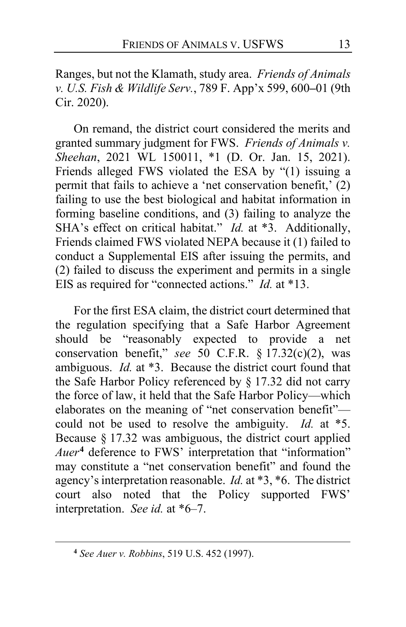Ranges, but not the Klamath, study area. *Friends of Animals v. U.S. Fish & Wildlife Serv.*, 789 F. App'x 599, 600**–**01 (9th Cir. 2020).

On remand, the district court considered the merits and granted summary judgment for FWS. *Friends of Animals v. Sheehan*, 2021 WL 150011, \*1 (D. Or. Jan. 15, 2021). Friends alleged FWS violated the ESA by "(1) issuing a permit that fails to achieve a 'net conservation benefit,' (2) failing to use the best biological and habitat information in forming baseline conditions, and (3) failing to analyze the SHA's effect on critical habitat." *Id.* at \*3. Additionally, Friends claimed FWS violated NEPA because it (1) failed to conduct a Supplemental EIS after issuing the permits, and (2) failed to discuss the experiment and permits in a single EIS as required for "connected actions." *Id.* at \*13.

For the first ESA claim, the district court determined that the regulation specifying that a Safe Harbor Agreement should be "reasonably expected to provide a net conservation benefit," *see* 50 C.F.R. § 17.32(c)(2), was ambiguous. *Id.* at \*3. Because the district court found that the Safe Harbor Policy referenced by § 17.32 did not carry the force of law, it held that the Safe Harbor Policy—which elaborates on the meaning of "net conservation benefit" could not be used to resolve the ambiguity. *Id.* at \*5. Because § 17.32 was ambiguous, the district court applied *Auer***[4](#page-12-0)** deference to FWS' interpretation that "information" may constitute a "net conservation benefit" and found the agency's interpretation reasonable. *Id.* at \*3, \*6. The district court also noted that the Policy supported FWS' interpretation. *See id.* at \*6–7.

<span id="page-12-0"></span>**<sup>4</sup>** *See Auer v. Robbins*, 519 U.S. 452 (1997).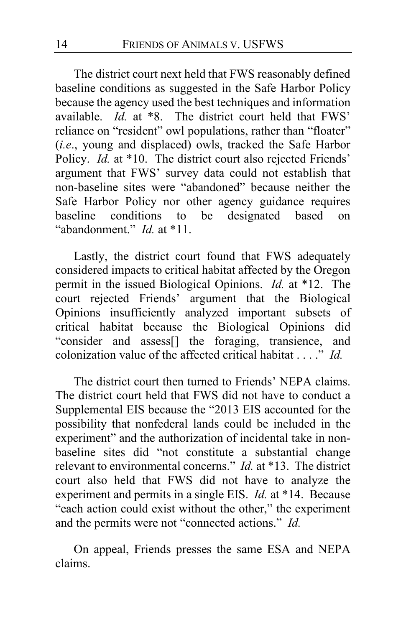The district court next held that FWS reasonably defined baseline conditions as suggested in the Safe Harbor Policy because the agency used the best techniques and information available. *Id.* at \*8. The district court held that FWS' reliance on "resident" owl populations, rather than "floater" (*i.e*., young and displaced) owls, tracked the Safe Harbor Policy. *Id.* at \*10. The district court also rejected Friends' argument that FWS' survey data could not establish that non-baseline sites were "abandoned" because neither the Safe Harbor Policy nor other agency guidance requires baseline conditions to be designated based on "abandonment." *Id.* at \*11.

Lastly, the district court found that FWS adequately considered impacts to critical habitat affected by the Oregon permit in the issued Biological Opinions. *Id.* at \*12. The court rejected Friends' argument that the Biological Opinions insufficiently analyzed important subsets of critical habitat because the Biological Opinions did "consider and assess[] the foraging, transience, and colonization value of the affected critical habitat . . . ." *Id.*

The district court then turned to Friends' NEPA claims. The district court held that FWS did not have to conduct a Supplemental EIS because the "2013 EIS accounted for the possibility that nonfederal lands could be included in the experiment" and the authorization of incidental take in nonbaseline sites did "not constitute a substantial change relevant to environmental concerns." *Id.* at \*13. The district court also held that FWS did not have to analyze the experiment and permits in a single EIS. *Id.* at \*14. Because "each action could exist without the other," the experiment and the permits were not "connected actions." *Id.*

On appeal, Friends presses the same ESA and NEPA claims.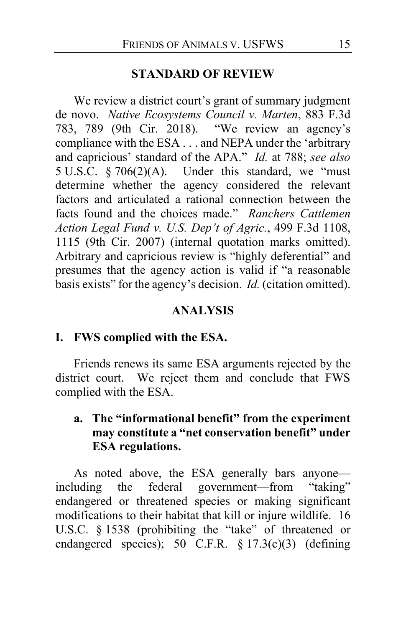#### **STANDARD OF REVIEW**

We review a district court's grant of summary judgment de novo. *Native Ecosystems Council v. Marten*, 883 F.3d 783, 789 (9th Cir. 2018). "We review an agency's compliance with the ESA . . . and NEPA under the 'arbitrary and capricious' standard of the APA." *Id.* at 788; *see also* 5 U.S.C.  $\S 706(2)(A)$ . Under this standard, we "must determine whether the agency considered the relevant factors and articulated a rational connection between the facts found and the choices made." *Ranchers Cattlemen Action Legal Fund v. U.S. Dep't of Agric.*, 499 F.3d 1108, 1115 (9th Cir. 2007) (internal quotation marks omitted). Arbitrary and capricious review is "highly deferential" and presumes that the agency action is valid if "a reasonable basis exists" for the agency's decision. *Id.* (citation omitted).

### **ANALYSIS**

### **I. FWS complied with the ESA.**

Friends renews its same ESA arguments rejected by the district court. We reject them and conclude that FWS complied with the ESA.

# **a. The "informational benefit" from the experiment may constitute a "net conservation benefit" under ESA regulations.**

As noted above, the ESA generally bars anyone—<br>luding the federal government—from "taking" including the federal government—from endangered or threatened species or making significant modifications to their habitat that kill or injure wildlife. 16 U.S.C. § 1538 (prohibiting the "take" of threatened or endangered species); 50 C.F.R. § 17.3(c)(3) (defining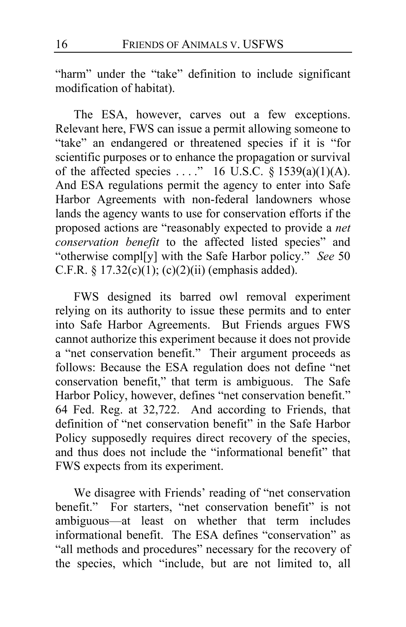"harm" under the "take" definition to include significant modification of habitat).

The ESA, however, carves out a few exceptions. Relevant here, FWS can issue a permit allowing someone to "take" an endangered or threatened species if it is "for scientific purposes or to enhance the propagation or survival of the affected species ...." 16 U.S.C.  $\S$  1539(a)(1)(A). And ESA regulations permit the agency to enter into Safe Harbor Agreements with non-federal landowners whose lands the agency wants to use for conservation efforts if the proposed actions are "reasonably expected to provide a *net conservation benefit* to the affected listed species" and "otherwise compl[y] with the Safe Harbor policy." *See* 50 C.F.R. §  $17.32(c)(1)$ ; (c)(2)(ii) (emphasis added).

FWS designed its barred owl removal experiment relying on its authority to issue these permits and to enter into Safe Harbor Agreements. But Friends argues FWS cannot authorize this experiment because it does not provide a "net conservation benefit." Their argument proceeds as follows: Because the ESA regulation does not define "net conservation benefit," that term is ambiguous. The Safe Harbor Policy, however, defines "net conservation benefit." 64 Fed. Reg. at 32,722. And according to Friends, that definition of "net conservation benefit" in the Safe Harbor Policy supposedly requires direct recovery of the species, and thus does not include the "informational benefit" that FWS expects from its experiment.

We disagree with Friends' reading of "net conservation benefit." For starters, "net conservation benefit" is not ambiguous—at least on whether that term includes informational benefit. The ESA defines "conservation" as "all methods and procedures" necessary for the recovery of the species, which "include, but are not limited to, all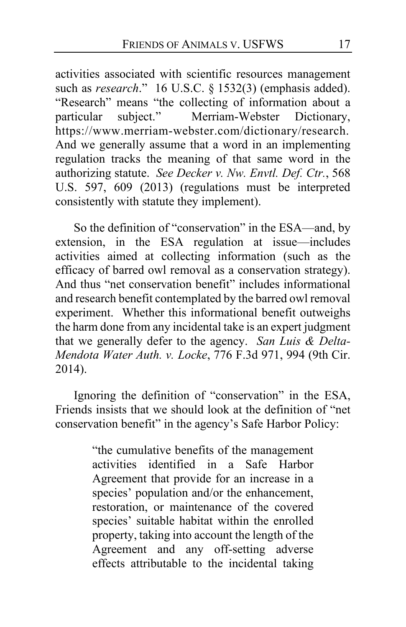activities associated with scientific resources management such as *research*." 16 U.S.C. § 1532(3) (emphasis added). "Research" means "the collecting of information about a particular subject." Merriam-Webster Dictionary, https://www.merriam-webster.com/dictionary/research. And we generally assume that a word in an implementing regulation tracks the meaning of that same word in the authorizing statute. *See Decker v. Nw. Envtl. Def. Ctr.*, 568 U.S. 597, 609 (2013) (regulations must be interpreted consistently with statute they implement).

So the definition of "conservation" in the ESA—and, by extension, in the ESA regulation at issue—includes activities aimed at collecting information (such as the efficacy of barred owl removal as a conservation strategy). And thus "net conservation benefit" includes informational and research benefit contemplated by the barred owl removal experiment. Whether this informational benefit outweighs the harm done from any incidental take is an expert judgment that we generally defer to the agency. *San Luis & Delta-Mendota Water Auth. v. Locke*, 776 F.3d 971, 994 (9th Cir. 2014).

Ignoring the definition of "conservation" in the ESA, Friends insists that we should look at the definition of "net conservation benefit" in the agency's Safe Harbor Policy:

> "the cumulative benefits of the management activities identified in a Safe Harbor Agreement that provide for an increase in a species' population and/or the enhancement, restoration, or maintenance of the covered species' suitable habitat within the enrolled property, taking into account the length of the Agreement and any off-setting adverse effects attributable to the incidental taking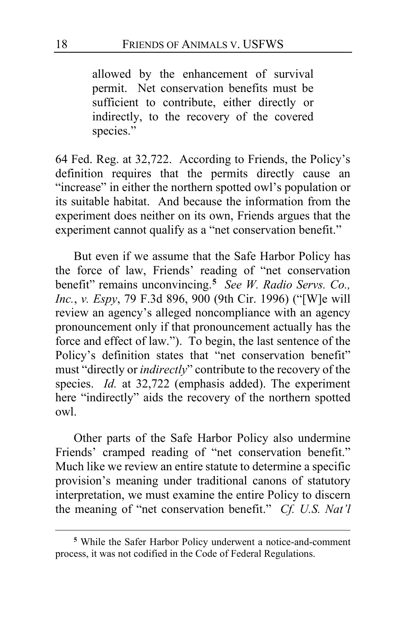allowed by the enhancement of survival permit. Net conservation benefits must be sufficient to contribute, either directly or indirectly, to the recovery of the covered species."

64 Fed. Reg. at 32,722. According to Friends, the Policy's definition requires that the permits directly cause an "increase" in either the northern spotted owl's population or its suitable habitat. And because the information from the experiment does neither on its own, Friends argues that the experiment cannot qualify as a "net conservation benefit."

But even if we assume that the Safe Harbor Policy has the force of law, Friends' reading of "net conservation benefit" remains unconvincing.**[5](#page-17-0)** *See W. Radio Servs. Co., Inc.*, *v. Espy*, 79 F.3d 896, 900 (9th Cir. 1996) ("[W]e will review an agency's alleged noncompliance with an agency pronouncement only if that pronouncement actually has the force and effect of law."). To begin, the last sentence of the Policy's definition states that "net conservation benefit" must "directly or *indirectly*" contribute to the recovery of the species. *Id.* at 32,722 (emphasis added). The experiment here "indirectly" aids the recovery of the northern spotted owl.

Other parts of the Safe Harbor Policy also undermine Friends' cramped reading of "net conservation benefit." Much like we review an entire statute to determine a specific provision's meaning under traditional canons of statutory interpretation, we must examine the entire Policy to discern the meaning of "net conservation benefit." *Cf. U.S. Nat'l* 

<span id="page-17-0"></span>**<sup>5</sup>** While the Safer Harbor Policy underwent a notice-and-comment process, it was not codified in the Code of Federal Regulations.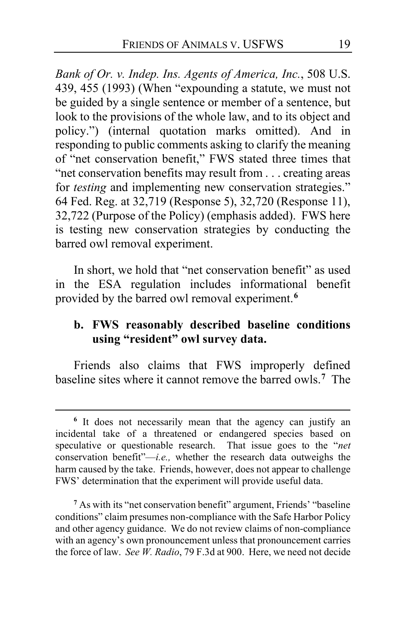*Bank of Or. v. Indep. Ins. Agents of America, Inc.*, 508 U.S. 439, 455 (1993) (When "expounding a statute, we must not be guided by a single sentence or member of a sentence, but look to the provisions of the whole law, and to its object and policy.") (internal quotation marks omitted). And in responding to public comments asking to clarify the meaning of "net conservation benefit," FWS stated three times that "net conservation benefits may result from . . . creating areas for *testing* and implementing new conservation strategies." 64 Fed. Reg. at 32,719 (Response 5), 32,720 (Response 11), 32,722 (Purpose of the Policy) (emphasis added). FWS here is testing new conservation strategies by conducting the barred owl removal experiment.

In short, we hold that "net conservation benefit" as used in the ESA regulation includes informational benefit provided by the barred owl removal experiment.**[6](#page-18-0)**

# **b. FWS reasonably described baseline conditions using "resident" owl survey data.**

Friends also claims that FWS improperly defined baseline sites where it cannot remove the barred owls.**[7](#page-18-1)** The

<span id="page-18-0"></span>**<sup>6</sup>** It does not necessarily mean that the agency can justify an incidental take of a threatened or endangered species based on speculative or questionable research. That issue goes to the "*net*  conservation benefit"—*i.e.,* whether the research data outweighs the harm caused by the take. Friends, however, does not appear to challenge FWS' determination that the experiment will provide useful data.

<span id="page-18-1"></span>**<sup>7</sup>** As with its "net conservation benefit" argument, Friends' "baseline conditions" claim presumes non-compliance with the Safe Harbor Policy and other agency guidance. We do not review claims of non-compliance with an agency's own pronouncement unless that pronouncement carries the force of law. *See W. Radio*, 79 F.3d at 900. Here, we need not decide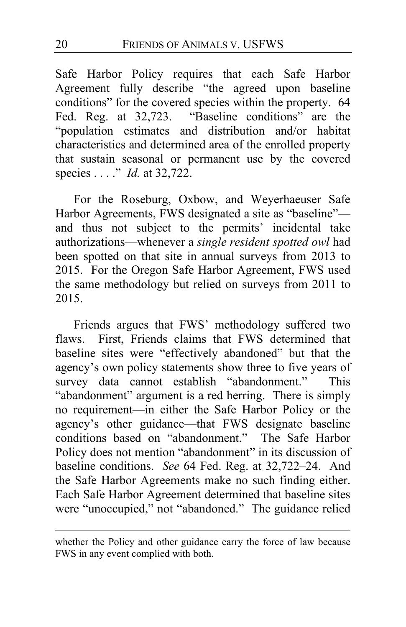Safe Harbor Policy requires that each Safe Harbor Agreement fully describe "the agreed upon baseline conditions" for the covered species within the property. 64 Fed. Reg. at 32,723. "Baseline conditions" are the "population estimates and distribution and/or habitat characteristics and determined area of the enrolled property that sustain seasonal or permanent use by the covered species . . . ." *Id.* at 32,722.

For the Roseburg, Oxbow, and Weyerhaeuser Safe Harbor Agreements, FWS designated a site as "baseline" and thus not subject to the permits' incidental take authorizations—whenever a *single resident spotted owl* had been spotted on that site in annual surveys from 2013 to 2015. For the Oregon Safe Harbor Agreement, FWS used the same methodology but relied on surveys from 2011 to 2015.

Friends argues that FWS' methodology suffered two flaws. First, Friends claims that FWS determined that baseline sites were "effectively abandoned" but that the agency's own policy statements show three to five years of survey data cannot establish "abandonment." This "abandonment" argument is a red herring. There is simply no requirement—in either the Safe Harbor Policy or the agency's other guidance—that FWS designate baseline conditions based on "abandonment." The Safe Harbor Policy does not mention "abandonment" in its discussion of baseline conditions. *See* 64 Fed. Reg. at 32,722–24. And the Safe Harbor Agreements make no such finding either. Each Safe Harbor Agreement determined that baseline sites were "unoccupied," not "abandoned." The guidance relied

whether the Policy and other guidance carry the force of law because FWS in any event complied with both.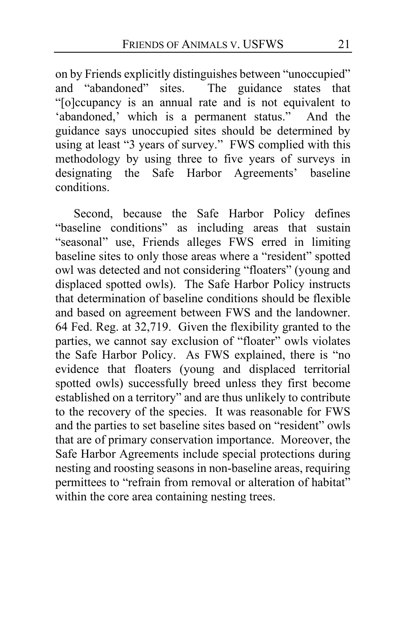on by Friends explicitly distinguishes between "unoccupied" and "abandoned" sites. The guidance states that The guidance states that "[o]ccupancy is an annual rate and is not equivalent to 'abandoned,' which is a permanent status." And the guidance says unoccupied sites should be determined by using at least "3 years of survey." FWS complied with this methodology by using three to five years of surveys in designating the Safe Harbor Agreements' baseline conditions.

Second, because the Safe Harbor Policy defines "baseline conditions" as including areas that sustain "seasonal" use, Friends alleges FWS erred in limiting baseline sites to only those areas where a "resident" spotted owl was detected and not considering "floaters" (young and displaced spotted owls). The Safe Harbor Policy instructs that determination of baseline conditions should be flexible and based on agreement between FWS and the landowner. 64 Fed. Reg. at 32,719. Given the flexibility granted to the parties, we cannot say exclusion of "floater" owls violates the Safe Harbor Policy. As FWS explained, there is "no evidence that floaters (young and displaced territorial spotted owls) successfully breed unless they first become established on a territory" and are thus unlikely to contribute to the recovery of the species. It was reasonable for FWS and the parties to set baseline sites based on "resident" owls that are of primary conservation importance. Moreover, the Safe Harbor Agreements include special protections during nesting and roosting seasons in non-baseline areas, requiring permittees to "refrain from removal or alteration of habitat" within the core area containing nesting trees.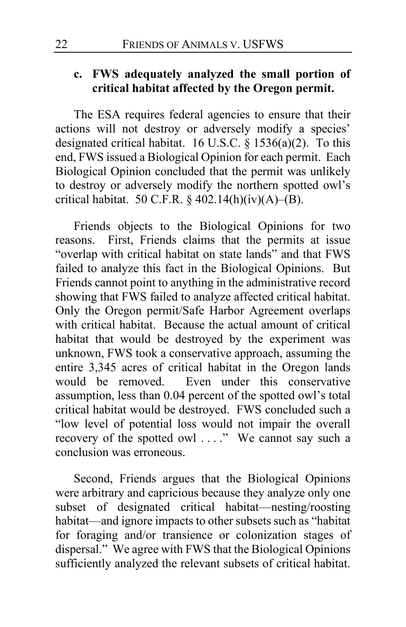# **c. FWS adequately analyzed the small portion of critical habitat affected by the Oregon permit.**

The ESA requires federal agencies to ensure that their actions will not destroy or adversely modify a species' designated critical habitat. 16 U.S.C. § 1536(a)(2). To this end, FWS issued a Biological Opinion for each permit. Each Biological Opinion concluded that the permit was unlikely to destroy or adversely modify the northern spotted owl's critical habitat. 50 C.F.R. §  $402.14(h)(iv)(A)$ –(B).

Friends objects to the Biological Opinions for two reasons. First, Friends claims that the permits at issue "overlap with critical habitat on state lands" and that FWS failed to analyze this fact in the Biological Opinions. But Friends cannot point to anything in the administrative record showing that FWS failed to analyze affected critical habitat. Only the Oregon permit/Safe Harbor Agreement overlaps with critical habitat. Because the actual amount of critical habitat that would be destroyed by the experiment was unknown, FWS took a conservative approach, assuming the entire 3,345 acres of critical habitat in the Oregon lands would be removed. Even under this conservative assumption, less than 0.04 percent of the spotted owl's total critical habitat would be destroyed. FWS concluded such a "low level of potential loss would not impair the overall recovery of the spotted owl . . . ."We cannot say such a conclusion was erroneous.

Second, Friends argues that the Biological Opinions were arbitrary and capricious because they analyze only one subset of designated critical habitat—nesting/roosting habitat—and ignore impacts to other subsets such as "habitat for foraging and/or transience or colonization stages of dispersal." We agree with FWS that the Biological Opinions sufficiently analyzed the relevant subsets of critical habitat.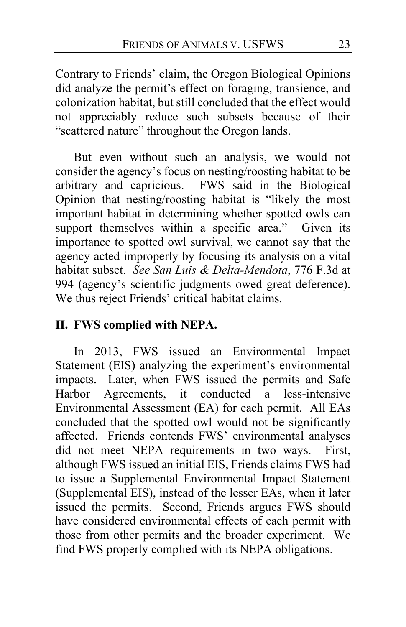Contrary to Friends' claim, the Oregon Biological Opinions did analyze the permit's effect on foraging, transience, and colonization habitat, but still concluded that the effect would not appreciably reduce such subsets because of their "scattered nature" throughout the Oregon lands.

But even without such an analysis, we would not consider the agency's focus on nesting/roosting habitat to be arbitrary and capricious. FWS said in the Biological Opinion that nesting/roosting habitat is "likely the most important habitat in determining whether spotted owls can support themselves within a specific area." Given its importance to spotted owl survival, we cannot say that the agency acted improperly by focusing its analysis on a vital habitat subset. *See San Luis & Delta-Mendota*, 776 F.3d at 994 (agency's scientific judgments owed great deference). We thus reject Friends' critical habitat claims.

# **II. FWS complied with NEPA.**

In 2013, FWS issued an Environmental Impact Statement (EIS) analyzing the experiment's environmental impacts. Later, when FWS issued the permits and Safe Harbor Agreements, it conducted a less-intensive Environmental Assessment (EA) for each permit. All EAs concluded that the spotted owl would not be significantly affected. Friends contends FWS' environmental analyses did not meet NEPA requirements in two ways. First, although FWS issued an initial EIS, Friends claims FWS had to issue a Supplemental Environmental Impact Statement (Supplemental EIS), instead of the lesser EAs, when it later issued the permits. Second, Friends argues FWS should have considered environmental effects of each permit with those from other permits and the broader experiment. We find FWS properly complied with its NEPA obligations.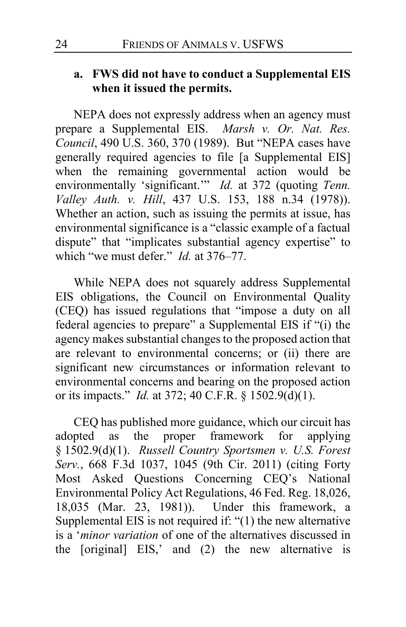# **a. FWS did not have to conduct a Supplemental EIS when it issued the permits.**

NEPA does not expressly address when an agency must prepare a Supplemental EIS. *Marsh v. Or. Nat. Res. Council*, 490 U.S. 360, 370 (1989). But "NEPA cases have generally required agencies to file [a Supplemental EIS] when the remaining governmental action would be environmentally 'significant.'" *Id.* at 372 (quoting *Tenn. Valley Auth. v. Hill*, 437 U.S. 153, 188 n.34 (1978)). Whether an action, such as issuing the permits at issue, has environmental significance is a "classic example of a factual dispute" that "implicates substantial agency expertise" to which "we must defer." *Id.* at 376–77.

While NEPA does not squarely address Supplemental EIS obligations, the Council on Environmental Quality (CEQ) has issued regulations that "impose a duty on all federal agencies to prepare" a Supplemental EIS if "(i) the agency makes substantial changes to the proposed action that are relevant to environmental concerns; or (ii) there are significant new circumstances or information relevant to environmental concerns and bearing on the proposed action or its impacts." *Id.* at 372; 40 C.F.R. § 1502.9(d)(1).

CEQ has published more guidance, which our circuit has adopted as the proper framework for applying § 1502.9(d)(1). *Russell Country Sportsmen v. U.S. Forest Serv.*, 668 F.3d 1037, 1045 (9th Cir. 2011) (citing Forty Most Asked Questions Concerning CEQ's National Environmental Policy Act Regulations, 46 Fed. Reg. 18,026, 18,035 (Mar. 23, 1981)). Under this framework, a Supplemental EIS is not required if: "(1) the new alternative is a '*minor variation* of one of the alternatives discussed in the [original] EIS,' and (2) the new alternative is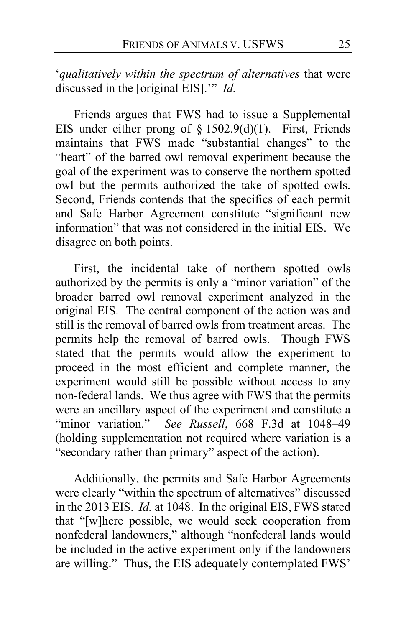'*qualitatively within the spectrum of alternatives* that were discussed in the [original EIS].'" *Id.*

Friends argues that FWS had to issue a Supplemental EIS under either prong of  $\S 1502.9(d)(1)$ . First, Friends maintains that FWS made "substantial changes" to the "heart" of the barred owl removal experiment because the goal of the experiment was to conserve the northern spotted owl but the permits authorized the take of spotted owls. Second, Friends contends that the specifics of each permit and Safe Harbor Agreement constitute "significant new information" that was not considered in the initial EIS.We disagree on both points.

First, the incidental take of northern spotted owls authorized by the permits is only a "minor variation" of the broader barred owl removal experiment analyzed in the original EIS. The central component of the action was and still is the removal of barred owls from treatment areas. The permits help the removal of barred owls. Though FWS stated that the permits would allow the experiment to proceed in the most efficient and complete manner, the experiment would still be possible without access to any non-federal lands. We thus agree with FWS that the permits were an ancillary aspect of the experiment and constitute a "minor variation." *See Russell*, 668 F.3d at 1048–49 (holding supplementation not required where variation is a "secondary rather than primary" aspect of the action).

Additionally, the permits and Safe Harbor Agreements were clearly "within the spectrum of alternatives" discussed in the 2013 EIS. *Id.* at 1048. In the original EIS, FWS stated that "[w]here possible, we would seek cooperation from nonfederal landowners," although "nonfederal lands would be included in the active experiment only if the landowners are willing." Thus, the EIS adequately contemplated FWS'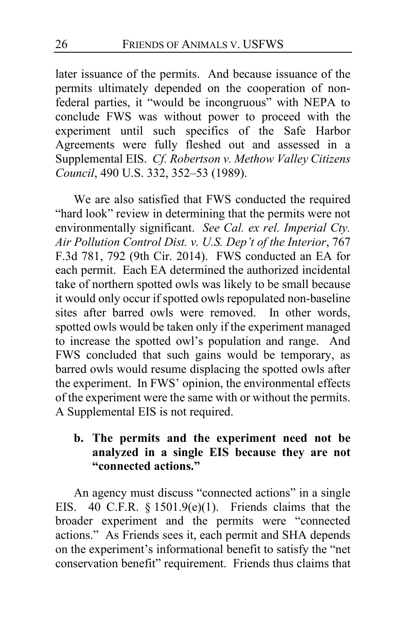later issuance of the permits. And because issuance of the permits ultimately depended on the cooperation of nonfederal parties, it "would be incongruous" with NEPA to conclude FWS was without power to proceed with the experiment until such specifics of the Safe Harbor Agreements were fully fleshed out and assessed in a Supplemental EIS. *Cf. Robertson v. Methow Valley Citizens Council*, 490 U.S. 332, 352–53 (1989).

We are also satisfied that FWS conducted the required "hard look" review in determining that the permits were not environmentally significant. *See Cal. ex rel. Imperial Cty. Air Pollution Control Dist. v. U.S. Dep't of the Interior*, 767 F.3d 781, 792 (9th Cir. 2014). FWS conducted an EA for each permit. Each EA determined the authorized incidental take of northern spotted owls was likely to be small because it would only occur if spotted owls repopulated non-baseline sites after barred owls were removed.In other words, spotted owls would be taken only if the experiment managed to increase the spotted owl's population and range. And FWS concluded that such gains would be temporary, as barred owls would resume displacing the spotted owls after the experiment. In FWS' opinion, the environmental effects of the experiment were the same with or without the permits. A Supplemental EIS is not required.

# **b. The permits and the experiment need not be analyzed in a single EIS because they are not "connected actions."**

An agency must discuss "connected actions" in a single EIS. 40 C.F.R.  $\S$  1501.9(e)(1). Friends claims that the broader experiment and the permits were "connected actions." As Friends sees it, each permit and SHA depends on the experiment's informational benefit to satisfy the "net conservation benefit" requirement. Friends thus claims that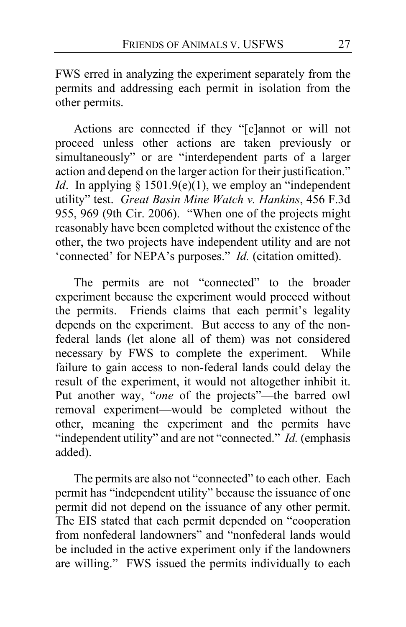FWS erred in analyzing the experiment separately from the permits and addressing each permit in isolation from the other permits.

Actions are connected if they "[c]annot or will not proceed unless other actions are taken previously or simultaneously" or are "interdependent parts of a larger action and depend on the larger action for their justification." *Id*. In applying § 1501.9(e) $(1)$ , we employ an "independent" utility" test. *Great Basin Mine Watch v. Hankins*, 456 F.3d 955, 969 (9th Cir. 2006). "When one of the projects might reasonably have been completed without the existence of the other, the two projects have independent utility and are not 'connected' for NEPA's purposes." *Id.* (citation omitted).

The permits are not "connected" to the broader experiment because the experiment would proceed without the permits. Friends claims that each permit's legality depends on the experiment. But access to any of the nonfederal lands (let alone all of them) was not considered necessary by FWS to complete the experiment. While failure to gain access to non-federal lands could delay the result of the experiment, it would not altogether inhibit it. Put another way, "*one* of the projects"—the barred owl removal experiment—would be completed without the other, meaning the experiment and the permits have "independent utility" and are not "connected." *Id.* (emphasis added).

The permits are also not "connected" to each other. Each permit has "independent utility" because the issuance of one permit did not depend on the issuance of any other permit. The EIS stated that each permit depended on "cooperation from nonfederal landowners" and "nonfederal lands would be included in the active experiment only if the landowners are willing." FWS issued the permits individually to each